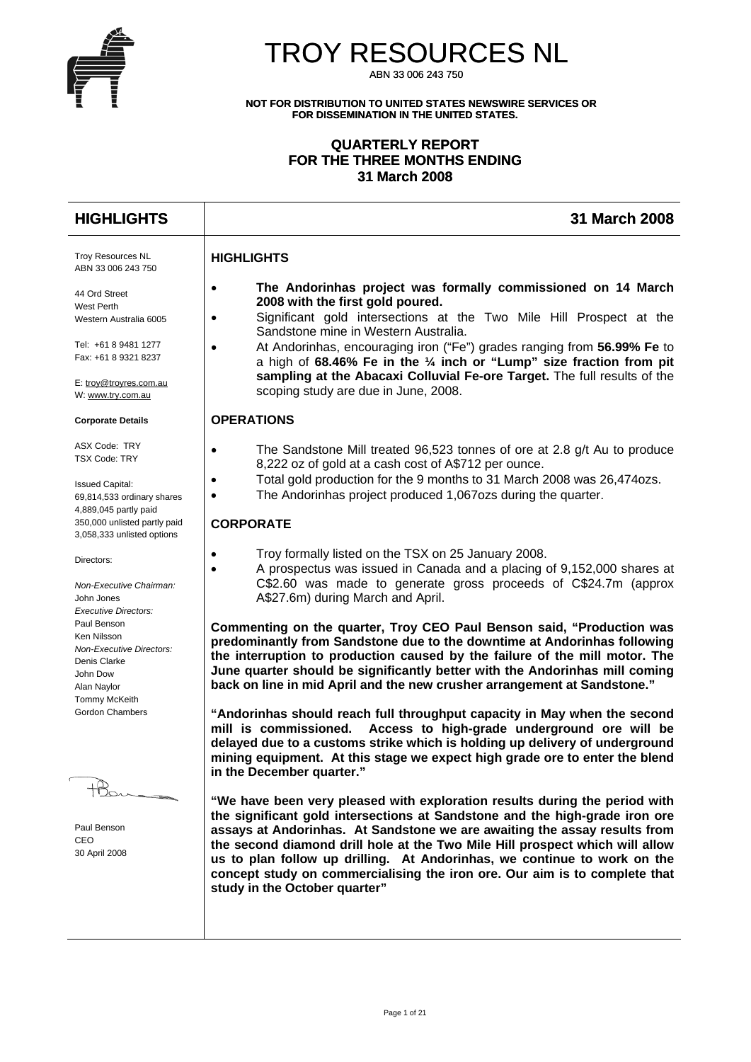

# TROY RESOURCES NL

ABN 33 006 243 750

**NOT FOR DISTRIBUTION TO UNITED STATES NEWSWIRE SERVICES OR FOR DISSEMINATION IN THE UNITED STATES.** 

## **QUARTERLY REPORT FOR THE THREE MONTHS ENDING 31 March 2008**

#### **HIGHLIGHTS 31 March 2008** Troy Resources NL ABN 33 006 243 750 44 Ord Street West Perth Western Australia 6005 Tel: +61 8 9481 1277 Fax: +61 8 9321 8237 E: [troy@troyres.com.au](mailto:troy@troyres.com.au) W: [www.try.com.au](http://www.try.com.au/) **Corporate Details**  ASX Code: TRY TSX Code: TRY Issued Capital: 69,814,533 ordinary shares 4,889,045 partly paid 350,000 unlisted partly paid 3,058,333 unlisted options Directors: *Non-Executive Chairman:*  John Jones *Executive Directors:*  Paul Benson Ken Nilsson *Non-Executive Directors:*  Denis Clarke John Dow Alan Naylor Tommy McKeith Gordon Chambers Paul Benson CEO 30 April 2008 **HIGHLIGHTS**  • **The Andorinhas project was formally commissioned on 14 March 2008 with the first gold poured.**  • Significant gold intersections at the Two Mile Hill Prospect at the Sandstone mine in Western Australia. • At Andorinhas, encouraging iron ("Fe") grades ranging from **56.99% Fe** to a high of **68.46% Fe in the ¼ inch or "Lump" size fraction from pit sampling at the Abacaxi Colluvial Fe-ore Target.** The full results of the scoping study are due in June, 2008. **OPERATIONS**  • The Sandstone Mill treated 96,523 tonnes of ore at 2.8 g/t Au to produce 8,222 oz of gold at a cash cost of A\$712 per ounce. • Total gold production for the 9 months to 31 March 2008 was 26,474ozs. The Andorinhas project produced 1,067ozs during the quarter. **CORPORATE**  • Troy formally listed on the TSX on 25 January 2008. • A prospectus was issued in Canada and a placing of 9,152,000 shares at C\$2.60 was made to generate gross proceeds of C\$24.7m (approx A\$27.6m) during March and April. **Commenting on the quarter, Troy CEO Paul Benson said, "Production was predominantly from Sandstone due to the downtime at Andorinhas following the interruption to production caused by the failure of the mill motor. The June quarter should be significantly better with the Andorinhas mill coming back on line in mid April and the new crusher arrangement at Sandstone." "Andorinhas should reach full throughput capacity in May when the second mill is commissioned. Access to high-grade underground ore will be delayed due to a customs strike which is holding up delivery of underground mining equipment. At this stage we expect high grade ore to enter the blend in the December quarter." "We have been very pleased with exploration results during the period with the significant gold intersections at Sandstone and the high-grade iron ore assays at Andorinhas. At Sandstone we are awaiting the assay results from the second diamond drill hole at the Two Mile Hill prospect which will allow us to plan follow up drilling. At Andorinhas, we continue to work on the concept study on commercialising the iron ore. Our aim is to complete that**

**study in the October quarter"**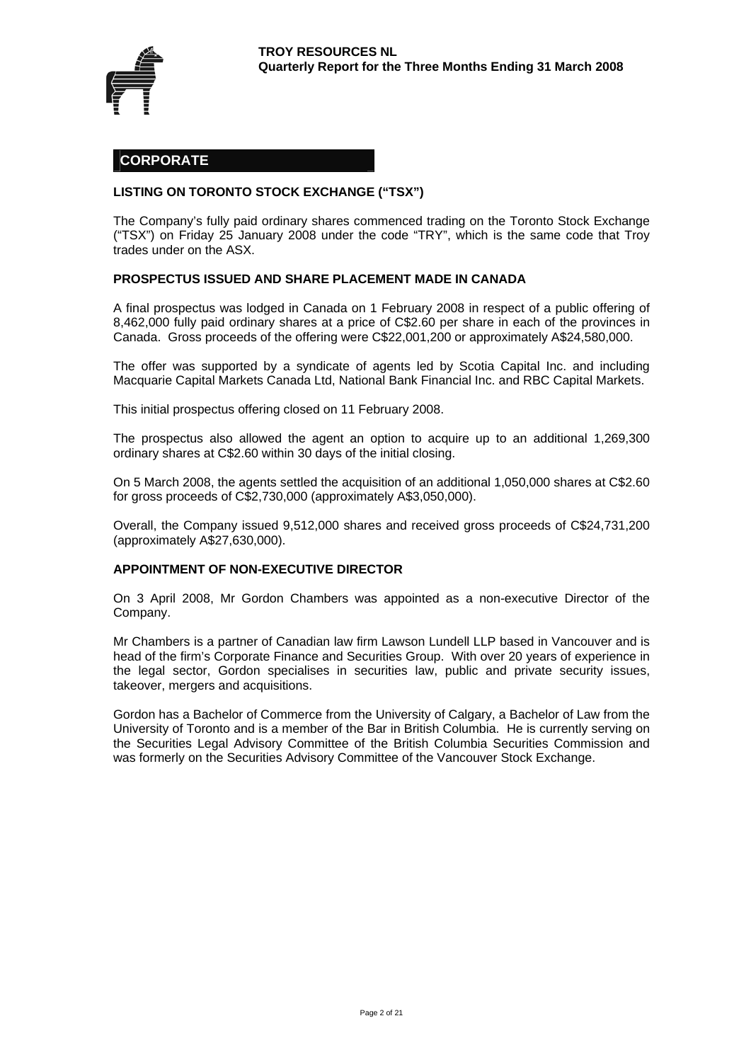

## **CORPORATE**

#### **LISTING ON TORONTO STOCK EXCHANGE ("TSX")**

The Company's fully paid ordinary shares commenced trading on the Toronto Stock Exchange ("TSX") on Friday 25 January 2008 under the code "TRY", which is the same code that Troy trades under on the ASX.

#### **PROSPECTUS ISSUED AND SHARE PLACEMENT MADE IN CANADA**

A final prospectus was lodged in Canada on 1 February 2008 in respect of a public offering of 8,462,000 fully paid ordinary shares at a price of C\$2.60 per share in each of the provinces in Canada. Gross proceeds of the offering were C\$22,001,200 or approximately A\$24,580,000.

The offer was supported by a syndicate of agents led by Scotia Capital Inc. and including Macquarie Capital Markets Canada Ltd, National Bank Financial Inc. and RBC Capital Markets.

This initial prospectus offering closed on 11 February 2008.

The prospectus also allowed the agent an option to acquire up to an additional 1,269,300 ordinary shares at C\$2.60 within 30 days of the initial closing.

On 5 March 2008, the agents settled the acquisition of an additional 1,050,000 shares at C\$2.60 for gross proceeds of C\$2,730,000 (approximately A\$3,050,000).

Overall, the Company issued 9,512,000 shares and received gross proceeds of C\$24,731,200 (approximately A\$27,630,000).

#### **APPOINTMENT OF NON-EXECUTIVE DIRECTOR**

On 3 April 2008, Mr Gordon Chambers was appointed as a non-executive Director of the Company.

Mr Chambers is a partner of Canadian law firm Lawson Lundell LLP based in Vancouver and is head of the firm's Corporate Finance and Securities Group. With over 20 years of experience in the legal sector, Gordon specialises in securities law, public and private security issues, takeover, mergers and acquisitions.

Gordon has a Bachelor of Commerce from the University of Calgary, a Bachelor of Law from the University of Toronto and is a member of the Bar in British Columbia. He is currently serving on the Securities Legal Advisory Committee of the British Columbia Securities Commission and was formerly on the Securities Advisory Committee of the Vancouver Stock Exchange.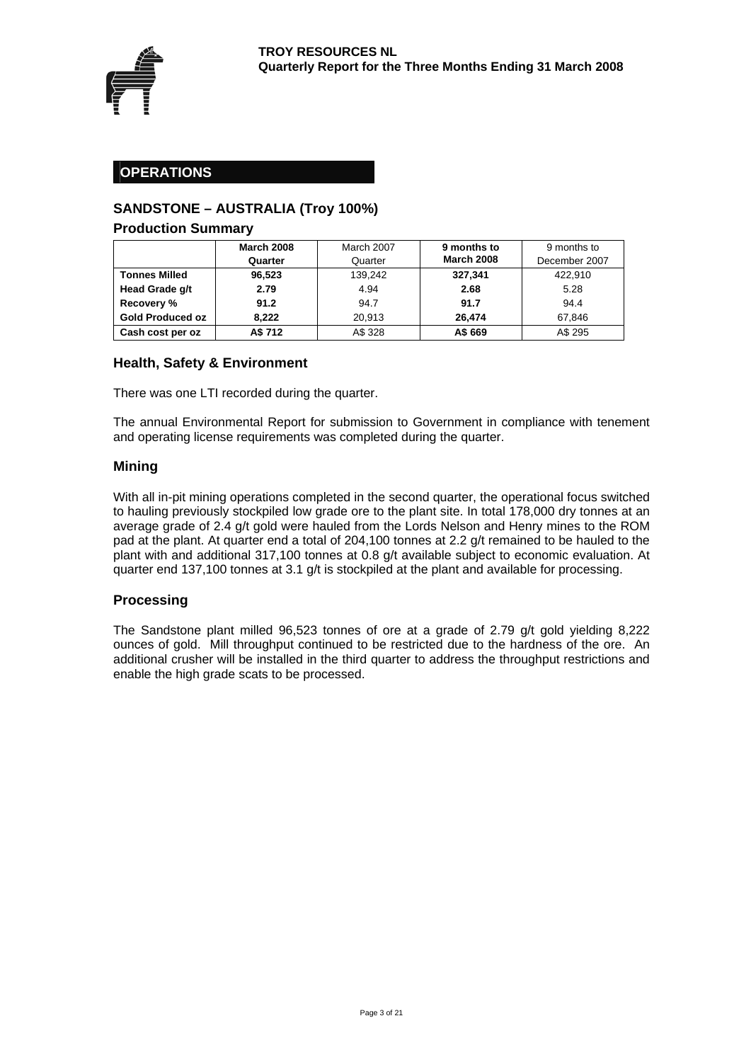

## **OPERATIONS**

## **SANDSTONE – AUSTRALIA (Troy 100%)**

#### **Production Summary**

|                         | <b>March 2008</b> | March 2007 | 9 months to       | 9 months to   |
|-------------------------|-------------------|------------|-------------------|---------------|
|                         | Quarter           | Quarter    | <b>March 2008</b> | December 2007 |
| <b>Tonnes Milled</b>    | 96,523            | 139,242    | 327,341           | 422.910       |
| Head Grade g/t          | 2.79              | 4.94       | 2.68              | 5.28          |
| Recovery %              | 91.2              | 94.7       | 91.7              | 94.4          |
| <b>Gold Produced oz</b> | 8.222             | 20.913     | 26.474            | 67.846        |
| Cash cost per oz        | A\$ 712           | A\$ 328    | A\$ 669           | A\$ 295       |

### **Health, Safety & Environment**

There was one LTI recorded during the quarter.

The annual Environmental Report for submission to Government in compliance with tenement and operating license requirements was completed during the quarter.

### **Mining**

With all in-pit mining operations completed in the second quarter, the operational focus switched to hauling previously stockpiled low grade ore to the plant site. In total 178,000 dry tonnes at an average grade of 2.4 g/t gold were hauled from the Lords Nelson and Henry mines to the ROM pad at the plant. At quarter end a total of 204,100 tonnes at 2.2 g/t remained to be hauled to the plant with and additional 317,100 tonnes at 0.8 g/t available subject to economic evaluation. At quarter end 137,100 tonnes at 3.1 g/t is stockpiled at the plant and available for processing.

#### **Processing**

The Sandstone plant milled 96,523 tonnes of ore at a grade of 2.79 g/t gold yielding 8,222 ounces of gold. Mill throughput continued to be restricted due to the hardness of the ore. An additional crusher will be installed in the third quarter to address the throughput restrictions and enable the high grade scats to be processed.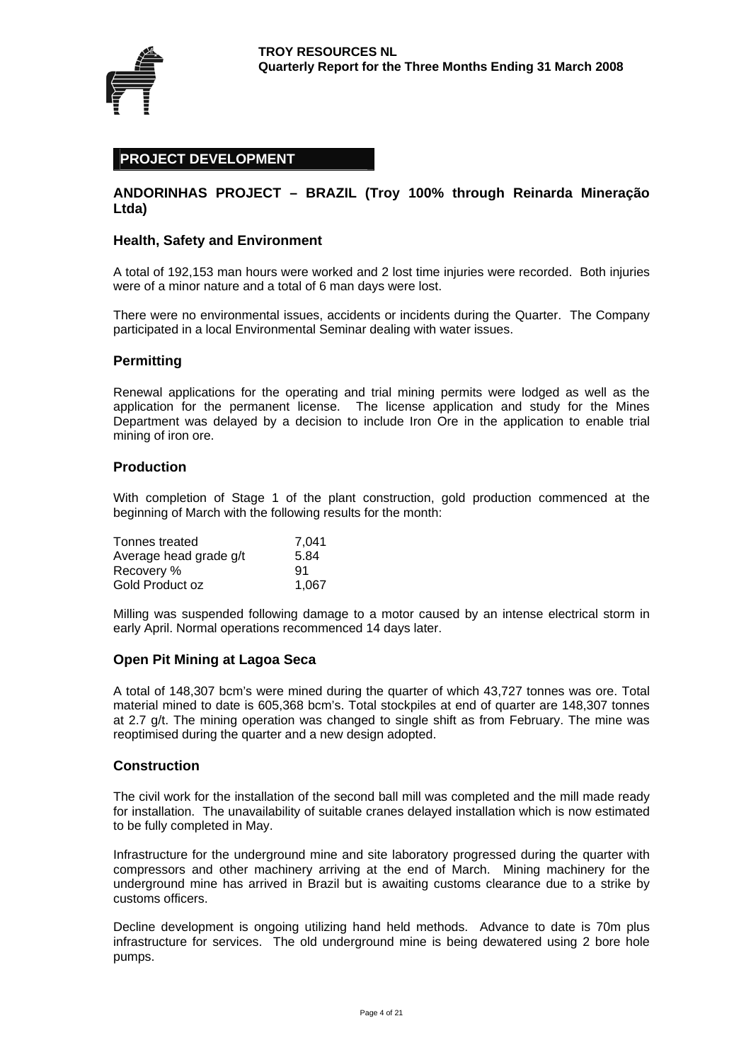

## **PROJECT DEVELOPMENT**

### **ANDORINHAS PROJECT – BRAZIL (Troy 100% through Reinarda Mineração Ltda)**

#### **Health, Safety and Environment**

A total of 192,153 man hours were worked and 2 lost time injuries were recorded. Both injuries were of a minor nature and a total of 6 man days were lost.

There were no environmental issues, accidents or incidents during the Quarter. The Company participated in a local Environmental Seminar dealing with water issues.

#### **Permitting**

Renewal applications for the operating and trial mining permits were lodged as well as the application for the permanent license. The license application and study for the Mines Department was delayed by a decision to include Iron Ore in the application to enable trial mining of iron ore.

#### **Production**

With completion of Stage 1 of the plant construction, gold production commenced at the beginning of March with the following results for the month:

| Tonnes treated         | 7,041 |
|------------------------|-------|
| Average head grade g/t | 5.84  |
| Recovery %             | 91    |
| Gold Product oz        | 1.067 |

Milling was suspended following damage to a motor caused by an intense electrical storm in early April. Normal operations recommenced 14 days later.

#### **Open Pit Mining at Lagoa Seca**

A total of 148,307 bcm's were mined during the quarter of which 43,727 tonnes was ore. Total material mined to date is 605,368 bcm's. Total stockpiles at end of quarter are 148,307 tonnes at 2.7 g/t. The mining operation was changed to single shift as from February. The mine was reoptimised during the quarter and a new design adopted.

#### **Construction**

The civil work for the installation of the second ball mill was completed and the mill made ready for installation. The unavailability of suitable cranes delayed installation which is now estimated to be fully completed in May.

Infrastructure for the underground mine and site laboratory progressed during the quarter with compressors and other machinery arriving at the end of March. Mining machinery for the underground mine has arrived in Brazil but is awaiting customs clearance due to a strike by customs officers.

Decline development is ongoing utilizing hand held methods. Advance to date is 70m plus infrastructure for services. The old underground mine is being dewatered using 2 bore hole pumps.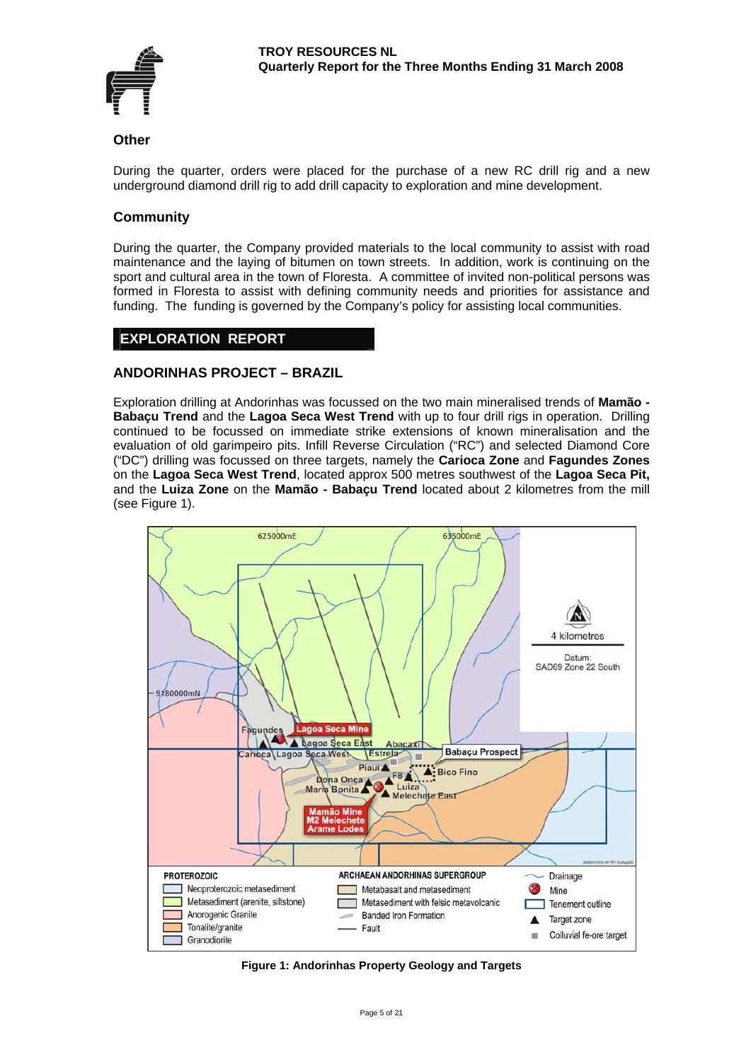

#### **Other**

During the quarter, orders were placed for the purchase of a new RC drill rig and a new underground diamond drill rig to add drill capacity to exploration and mine development.

## **Community**

During the quarter, the Company provided materials to the local community to assist with road maintenance and the laying of bitumen on town streets. In addition, work is continuing on the sport and cultural area in the town of Floresta. A committee of invited non-political persons was formed in Floresta to assist with defining community needs and priorities for assistance and funding. The funding is governed by the Company's policy for assisting local communities.

## **EXPLORATION REPORT**

### **ANDORINHAS PROJECT – BRAZIL**

Exploration drilling at Andorinhas was focussed on the two main mineralised trends of **Mamão - Babaçu Trend** and the **Lagoa Seca West Trend** with up to four drill rigs in operation. Drilling continued to be focussed on immediate strike extensions of known mineralisation and the evaluation of old garimpeiro pits. Infill Reverse Circulation ("RC") and selected Diamond Core ("DC") drilling was focussed on three targets, namely the **Carioca Zone** and **Fagundes Zones** on the **Lagoa Seca West Trend**, located approx 500 metres southwest of the **Lagoa Seca Pit,**  and the **Luiza Zone** on the **Mamão - Babaçu Trend** located about 2 kilometres from the mill (see Figure 1).



**Figure 1: Andorinhas Property Geology and Targets**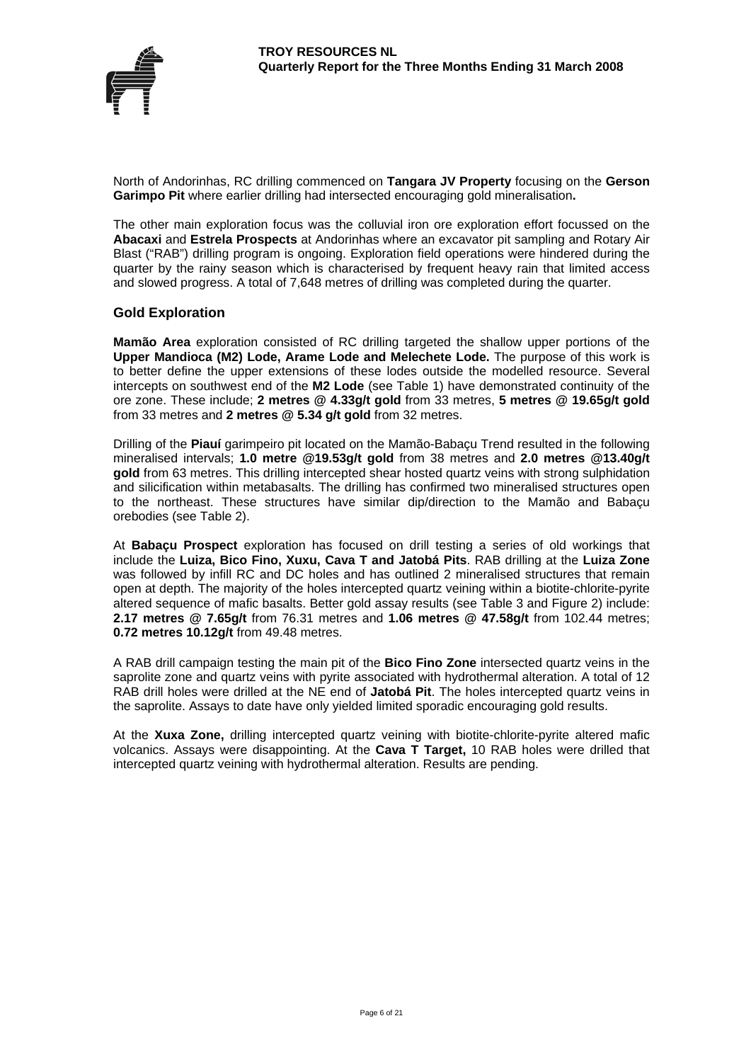

North of Andorinhas, RC drilling commenced on **Tangara JV Property** focusing on the **Gerson Garimpo Pit** where earlier drilling had intersected encouraging gold mineralisation**.**

The other main exploration focus was the colluvial iron ore exploration effort focussed on the **Abacaxi** and **Estrela Prospects** at Andorinhas where an excavator pit sampling and Rotary Air Blast ("RAB") drilling program is ongoing. Exploration field operations were hindered during the quarter by the rainy season which is characterised by frequent heavy rain that limited access and slowed progress. A total of 7,648 metres of drilling was completed during the quarter.

#### **Gold Exploration**

**Mamão Area** exploration consisted of RC drilling targeted the shallow upper portions of the **Upper Mandioca (M2) Lode, Arame Lode and Melechete Lode.** The purpose of this work is to better define the upper extensions of these lodes outside the modelled resource. Several intercepts on southwest end of the **M2 Lode** (see Table 1) have demonstrated continuity of the ore zone. These include; **[2 metres @ 4.33g](mailto:2m@4.33)/t gold** from 33 metres, **5 metres @ 19.65g/t gold**  from 33 metres and **2 metres @ 5.34 g/t gold** from 32 metres.

Drilling of the **Piauí** garimpeiro pit located on the Mamão-Babaçu Trend resulted in the following mineralised intervals; **1.0 metre @19.53g/t gold** from 38 metres and **2.0 [metres @13.40](mailto:m@13.40)g/t gold** from 63 metres. This drilling intercepted shear hosted quartz veins with strong sulphidation and silicification within metabasalts. The drilling has confirmed two mineralised structures open to the northeast. These structures have similar dip/direction to the Mamão and Babaçu orebodies (see Table 2).

At **Babaçu Prospect** exploration has focused on drill testing a series of old workings that include the **Luiza, Bico Fino, Xuxu, Cava T and Jatobá Pits**. RAB drilling at the **Luiza Zone** was followed by infill RC and DC holes and has outlined 2 mineralised structures that remain open at depth. The majority of the holes intercepted quartz veining within a biotite-chlorite-pyrite altered sequence of mafic basalts. Better gold assay results (see Table 3 and Figure 2) include: **[2.17 metres @ 7.65g](mailto:2.17%20metres%20@%207.65)/t** from 76.31 metres and **[1.06 metres @ 47.58](mailto:1.06m%20@%2047.58)g/t** from 102.44 metres; **0.72 metres 10.12g/t** from 49.48 metres.

A RAB drill campaign testing the main pit of the **Bico Fino Zone** intersected quartz veins in the saprolite zone and quartz veins with pyrite associated with hydrothermal alteration. A total of 12 RAB drill holes were drilled at the NE end of **Jatobá Pit**. The holes intercepted quartz veins in the saprolite. Assays to date have only yielded limited sporadic encouraging gold results.

At the **Xuxa Zone,** drilling intercepted quartz veining with biotite-chlorite-pyrite altered mafic volcanics. Assays were disappointing. At the **Cava T Target,** 10 RAB holes were drilled that intercepted quartz veining with hydrothermal alteration. Results are pending.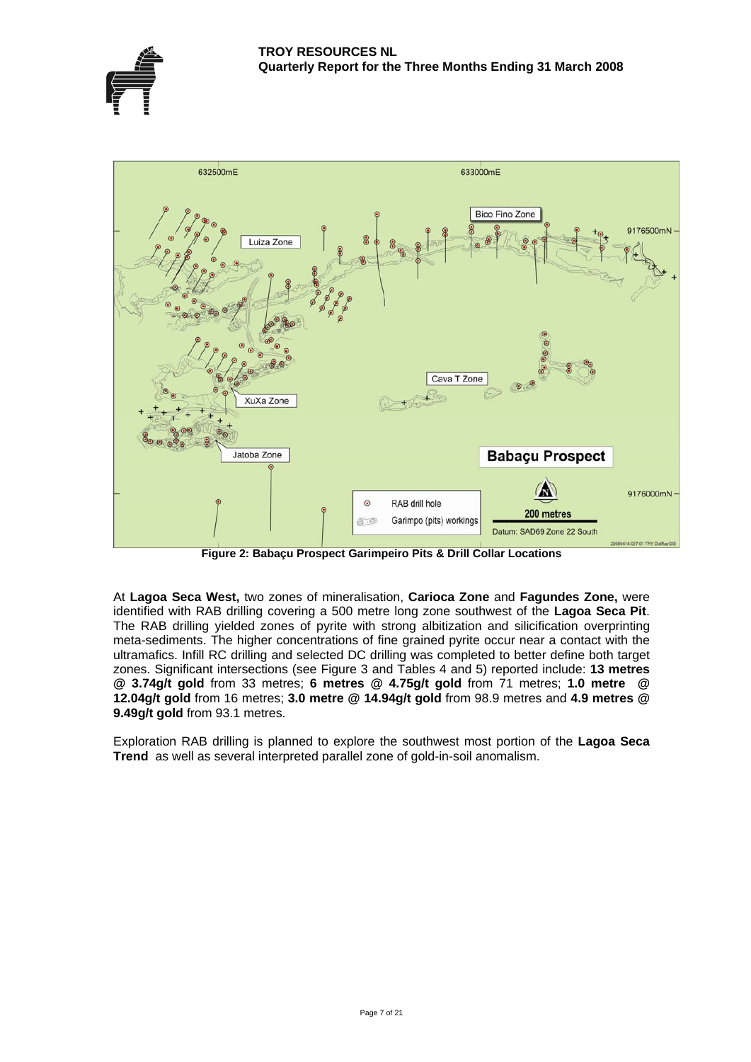



**Figure 2: Babaçu Prospect Garimpeiro Pits & Drill Collar Locations** 

At **Lagoa Seca West,** two zones of mineralisation, **Carioca Zone** and **Fagundes Zone,** were identified with RAB drilling covering a 500 metre long zone southwest of the **Lagoa Seca Pit**. The RAB drilling yielded zones of pyrite with strong albitization and silicification overprinting meta-sediments. The higher concentrations of fine grained pyrite occur near a contact with the ultramafics. Infill RC drilling and selected DC drilling was completed to better define both target zones. Significant intersections (see Figure 3 and Tables 4 and 5) reported include: **[13 metres](mailto:11%20metres%20@%203.74)  [@ 3.74g](mailto:11%20metres%20@%203.74)/t gold** from 33 metres; **[6 metres @ 4.75g/t](mailto:6%20metres%20@%204.75g/t) gold** from 71 metres; **[1.0 metre @](mailto:1.0%20metre%20%20@%2012.04g/t)  [12.04g/t](mailto:1.0%20metre%20%20@%2012.04g/t) gold** from 16 metres; **[3.0 metre @ 14.94g/t](mailto:3.0m@14.94g/t) gold** from 98.9 metres and **[4.9 metres @](mailto:4.9m@9.49g/t)  [9.49g/t](mailto:4.9m@9.49g/t) gold** from 93.1 metres.

Exploration RAB drilling is planned to explore the southwest most portion of the **Lagoa Seca Trend** as well as several interpreted parallel zone of gold-in-soil anomalism.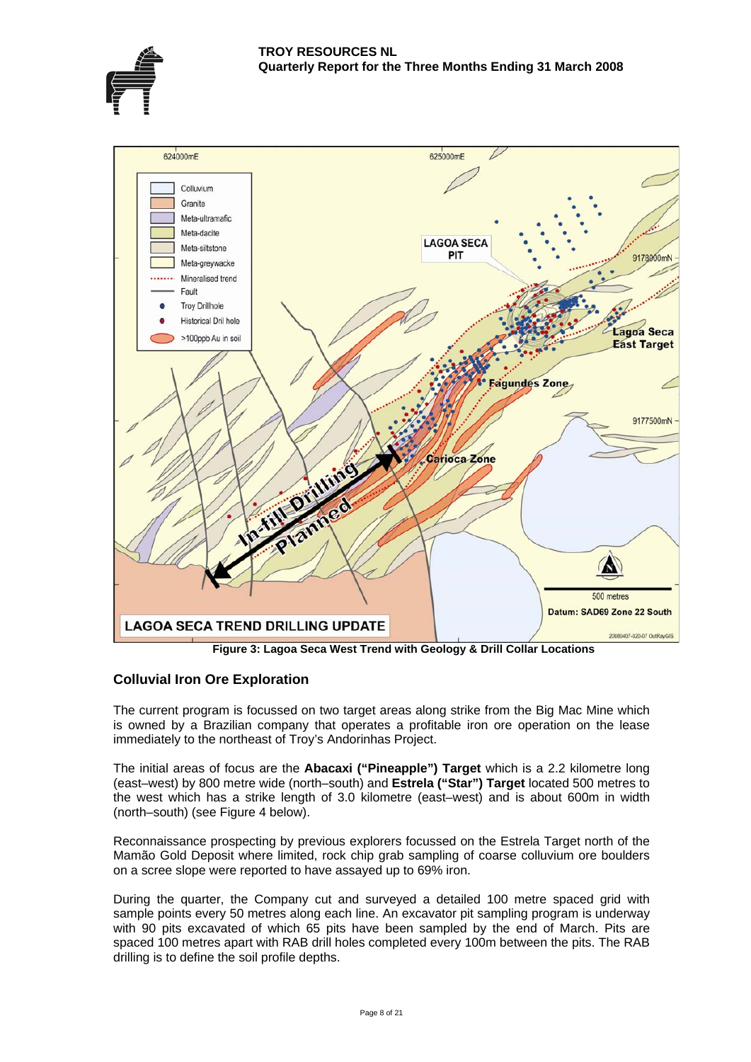



 **Figure 3: Lagoa Seca West Trend with Geology & Drill Collar Locations** 

## **Colluvial Iron Ore Exploration**

The current program is focussed on two target areas along strike from the Big Mac Mine which is owned by a Brazilian company that operates a profitable iron ore operation on the lease immediately to the northeast of Troy's Andorinhas Project.

The initial areas of focus are the **Abacaxi ("Pineapple") Target** which is a 2.2 kilometre long (east–west) by 800 metre wide (north–south) and **Estrela ("Star") Target** located 500 metres to the west which has a strike length of 3.0 kilometre (east–west) and is about 600m in width (north–south) (see Figure 4 below).

Reconnaissance prospecting by previous explorers focussed on the Estrela Target north of the Mamão Gold Deposit where limited, rock chip grab sampling of coarse colluvium ore boulders on a scree slope were reported to have assayed up to 69% iron.

During the quarter, the Company cut and surveyed a detailed 100 metre spaced grid with sample points every 50 metres along each line. An excavator pit sampling program is underway with 90 pits excavated of which 65 pits have been sampled by the end of March. Pits are spaced 100 metres apart with RAB drill holes completed every 100m between the pits. The RAB drilling is to define the soil profile depths.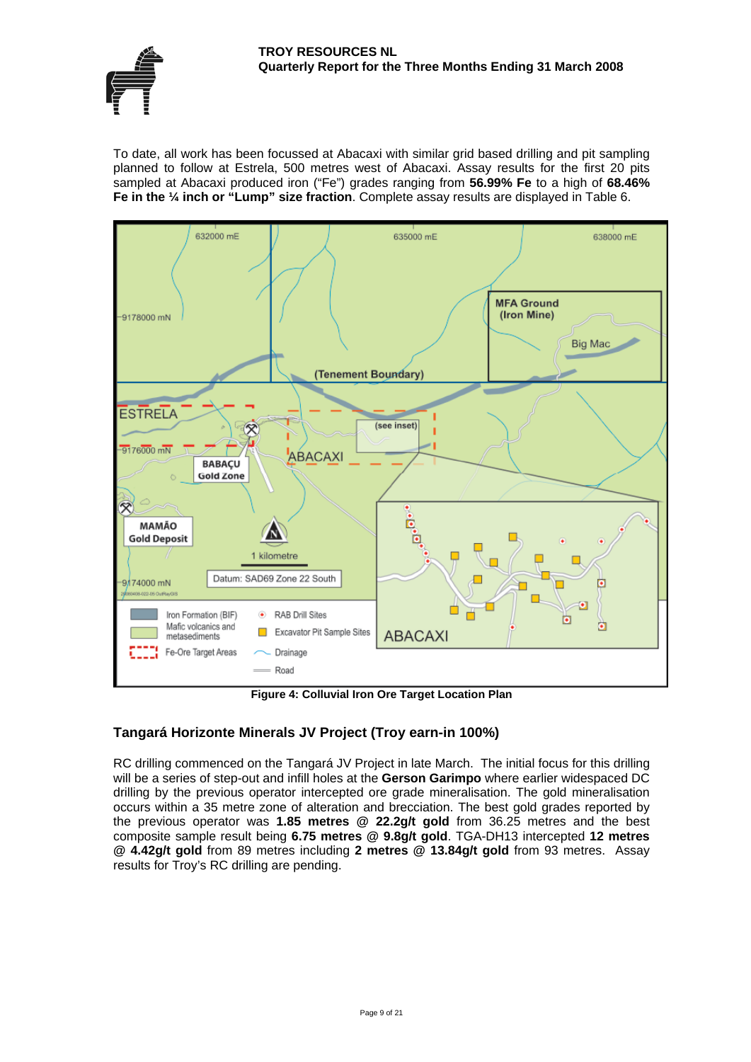#### **TROY RESOURCES NL Quarterly Report for the Three Months Ending 31 March 2008**



To date, all work has been focussed at Abacaxi with similar grid based drilling and pit sampling planned to follow at Estrela, 500 metres west of Abacaxi. Assay results for the first 20 pits sampled at Abacaxi produced iron ("Fe") grades ranging from **56.99% Fe** to a high of **68.46% Fe in the ¼ inch or "Lump" size fraction**. Complete assay results are displayed in Table 6.



**Figure 4: Colluvial Iron Ore Target Location Plan** 

## **Tangará Horizonte Minerals JV Project (Troy earn-in 100%)**

RC drilling commenced on the Tangará JV Project in late March. The initial focus for this drilling will be a series of step-out and infill holes at the **Gerson Garimpo** where earlier widespaced DC drilling by the previous operator intercepted ore grade mineralisation. The gold mineralisation occurs within a 35 metre zone of alteration and brecciation. The best gold grades reported by the previous operator was **1.85 metres @ 22.2g/t gold** from 36.25 metres and the best composite sample result being **6.75 metres @ 9.8g/t gold**. TGA-DH13 intercepted **12 metres @ 4.42g/t gold** from 89 metres including **2 metres @ 13.84g/t gold** from 93 metres. Assay results for Troy's RC drilling are pending.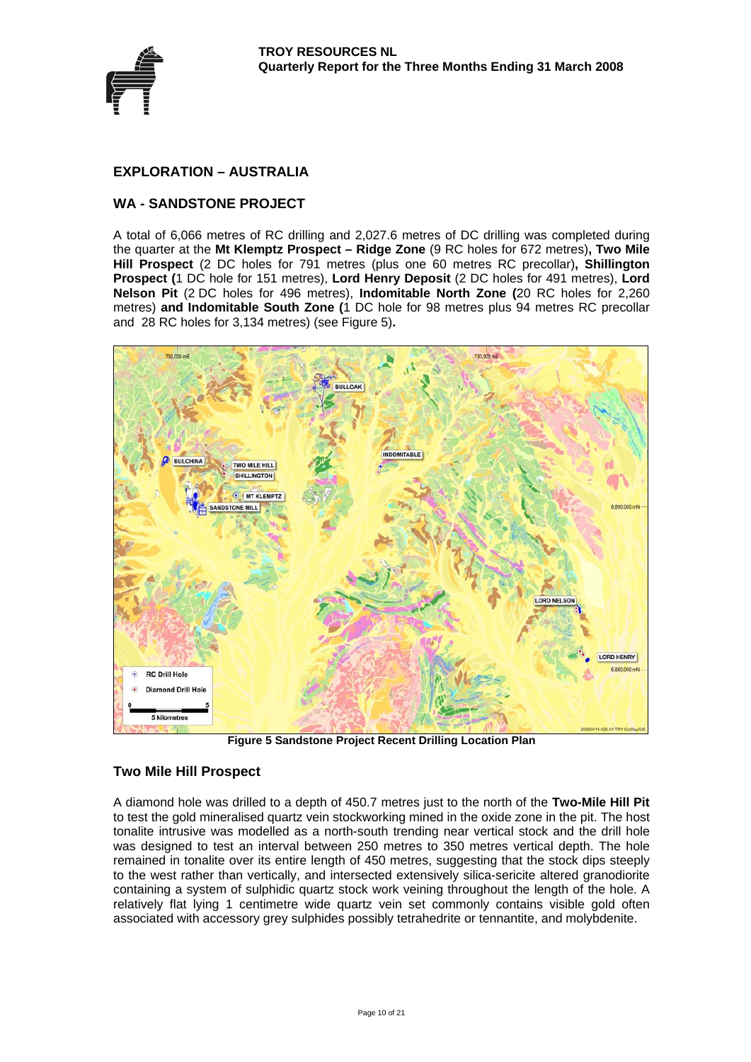

## **EXPLORATION – AUSTRALIA**

## **WA - SANDSTONE PROJECT**

A total of 6,066 metres of RC drilling and 2,027.6 metres of DC drilling was completed during the quarter at the **Mt Klemptz Prospect – Ridge Zone** (9 RC holes for 672 metres)**, Two Mile Hill Prospect** (2 DC holes for 791 metres (plus one 60 metres RC precollar)**, Shillington Prospect (**1 DC hole for 151 metres), **Lord Henry Deposit** (2 DC holes for 491 metres), **Lord Nelson Pit** (2 DC holes for 496 metres), **Indomitable North Zone (**20 RC holes for 2,260 metres) **and Indomitable South Zone (**1 DC hole for 98 metres plus 94 metres RC precollar and 28 RC holes for 3,134 metres) (see Figure 5)**.** 



**Figure 5 Sandstone Project Recent Drilling Location Plan** 

## **Two Mile Hill Prospect**

A diamond hole was drilled to a depth of 450.7 metres just to the north of the **Two-Mile Hill Pit** to test the gold mineralised quartz vein stockworking mined in the oxide zone in the pit. The host tonalite intrusive was modelled as a north-south trending near vertical stock and the drill hole was designed to test an interval between 250 metres to 350 metres vertical depth. The hole remained in tonalite over its entire length of 450 metres, suggesting that the stock dips steeply to the west rather than vertically, and intersected extensively silica-sericite altered granodiorite containing a system of sulphidic quartz stock work veining throughout the length of the hole. A relatively flat lying 1 centimetre wide quartz vein set commonly contains visible gold often associated with accessory grey sulphides possibly tetrahedrite or tennantite, and molybdenite.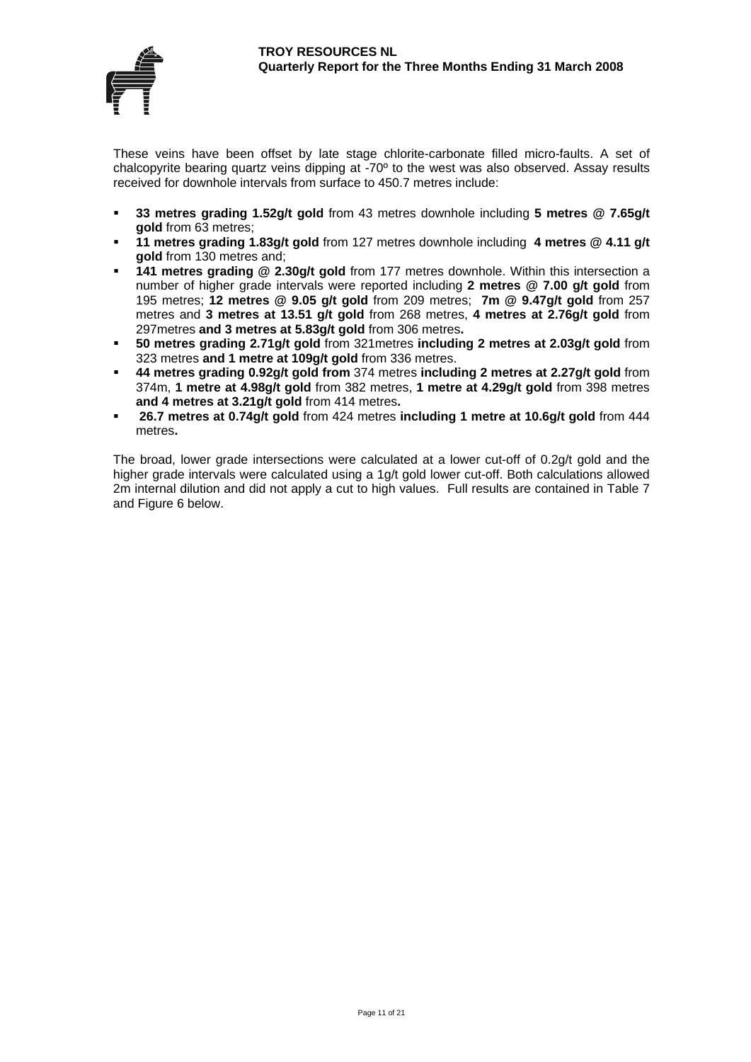

These veins have been offset by late stage chlorite-carbonate filled micro-faults. A set of chalcopyrite bearing quartz veins dipping at -70º to the west was also observed. Assay results received for downhole intervals from surface to 450.7 metres include:

- **33 metres grading 1.52g/t gold** from 43 metres downhole including **5 metres @ 7.65g/t gold** from 63 metres;
- **11 metres grading 1.83g/t gold** from 127 metres downhole including **4 metres @ 4.11 g/t gold** from 130 metres and;
- **141 metres grading @ 2.30g/t gold** from 177 metres downhole. Within this intersection a number of higher grade intervals were reported including **2 metres @ 7.00 g/t gold** from 195 metres; **12 metres @ 9.05 g/t gold** from 209 metres; **7m @ 9.47g/t gold** from 257 metres and **3 metres at 13.51 g/t gold** from 268 metres, **4 metres at 2.76g/t gold** from 297metres **and 3 metres at 5.83g/t gold** from 306 metres**.**
- **50 metres grading 2.71g/t gold** from 321metres **including 2 metres at 2.03g/t gold** from 323 metres **and 1 metre at 109g/t gold** from 336 metres.
- **44 metres grading 0.92g/t gold from** 374 metres **including 2 metres at 2.27g/t gold** from 374m, **1 metre at 4.98g/t gold** from 382 metres, **1 metre at 4.29g/t gold** from 398 metres **and 4 metres at 3.21g/t gold** from 414 metres**.**
- **26.7 metres at 0.74g/t gold** from 424 metres **including 1 metre at 10.6g/t gold** from 444 metres**.**

The broad, lower grade intersections were calculated at a lower cut-off of 0.2g/t gold and the higher grade intervals were calculated using a 1g/t gold lower cut-off. Both calculations allowed 2m internal dilution and did not apply a cut to high values. Full results are contained in Table 7 and Figure 6 below.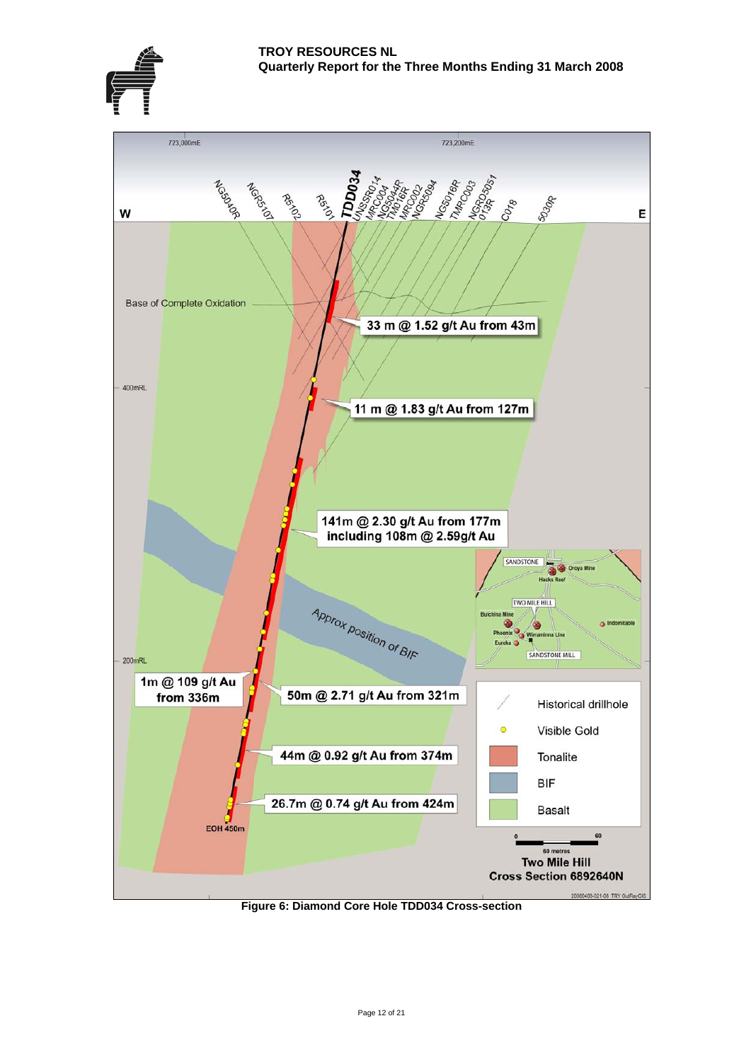



**Figure 6: Diamond Core Hole TDD034 Cross-section**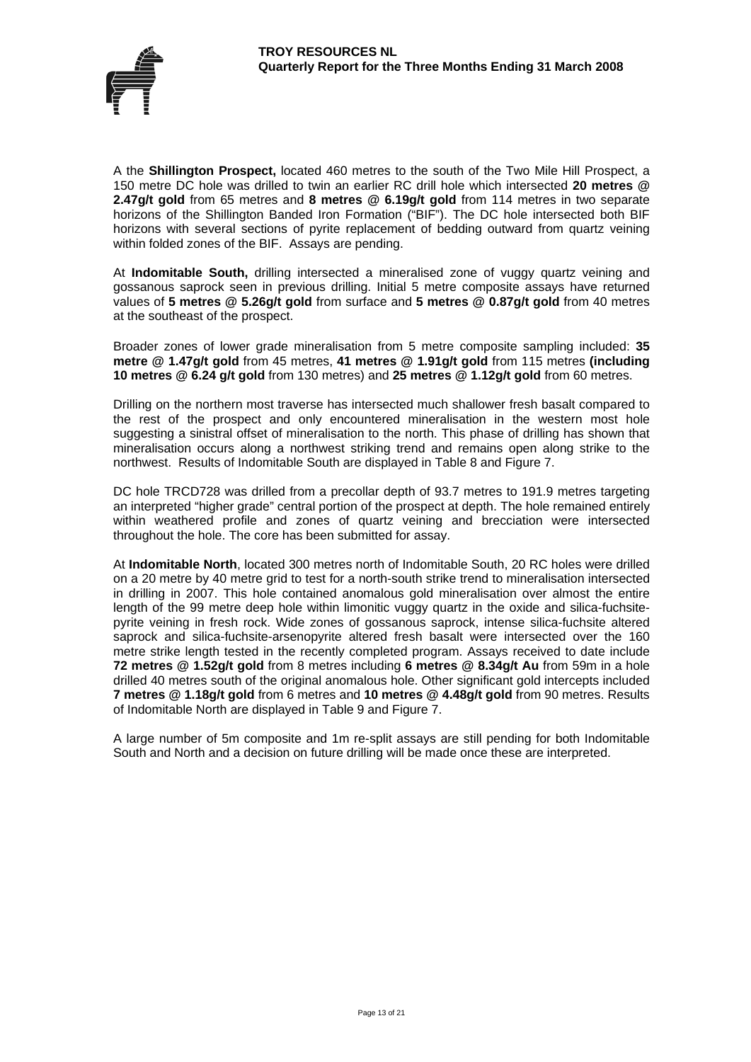

A the **Shillington Prospect,** located 460 metres to the south of the Two Mile Hill Prospect, a 150 metre DC hole was drilled to twin an earlier RC drill hole which intersected **20 metres @ 2.47g/t gold** from 65 metres and **8 metres @ 6.19g/t gold** from 114 metres in two separate horizons of the Shillington Banded Iron Formation ("BIF"). The DC hole intersected both BIF horizons with several sections of pyrite replacement of bedding outward from quartz veining within folded zones of the BIF. Assays are pending.

At **Indomitable South,** drilling intersected a mineralised zone of vuggy quartz veining and gossanous saprock seen in previous drilling. Initial 5 metre composite assays have returned values of **5 metres @ 5.26g/t gold** from surface and **5 metres @ 0.87g/t gold** from 40 metres at the southeast of the prospect.

Broader zones of lower grade mineralisation from 5 metre composite sampling included: **35 metre @ 1.47g/t gold** from 45 metres, **41 metres @ 1.91g/t gold** from 115 metres **(including 10 metres @ 6.24 g/t gold** from 130 metres) and **25 metres @ 1.12g/t gold** from 60 metres.

Drilling on the northern most traverse has intersected much shallower fresh basalt compared to the rest of the prospect and only encountered mineralisation in the western most hole suggesting a sinistral offset of mineralisation to the north. This phase of drilling has shown that mineralisation occurs along a northwest striking trend and remains open along strike to the northwest. Results of Indomitable South are displayed in Table 8 and Figure 7.

DC hole TRCD728 was drilled from a precollar depth of 93.7 metres to 191.9 metres targeting an interpreted "higher grade" central portion of the prospect at depth. The hole remained entirely within weathered profile and zones of quartz veining and brecciation were intersected throughout the hole. The core has been submitted for assay.

At **Indomitable North**, located 300 metres north of Indomitable South, 20 RC holes were drilled on a 20 metre by 40 metre grid to test for a north-south strike trend to mineralisation intersected in drilling in 2007. This hole contained anomalous gold mineralisation over almost the entire length of the 99 metre deep hole within limonitic vuggy quartz in the oxide and silica-fuchsitepyrite veining in fresh rock. Wide zones of gossanous saprock, intense silica-fuchsite altered saprock and silica-fuchsite-arsenopyrite altered fresh basalt were intersected over the 160 metre strike length tested in the recently completed program. Assays received to date include **72 metres @ 1.52g/t gold** from 8 metres including **6 metres @ 8.34g/t Au** from 59m in a hole drilled 40 metres south of the original anomalous hole. Other significant gold intercepts included **7 metres @ 1.18g/t gold** from 6 metres and **10 metres @ 4.48g/t gold** from 90 metres. Results of Indomitable North are displayed in Table 9 and Figure 7.

A large number of 5m composite and 1m re-split assays are still pending for both Indomitable South and North and a decision on future drilling will be made once these are interpreted.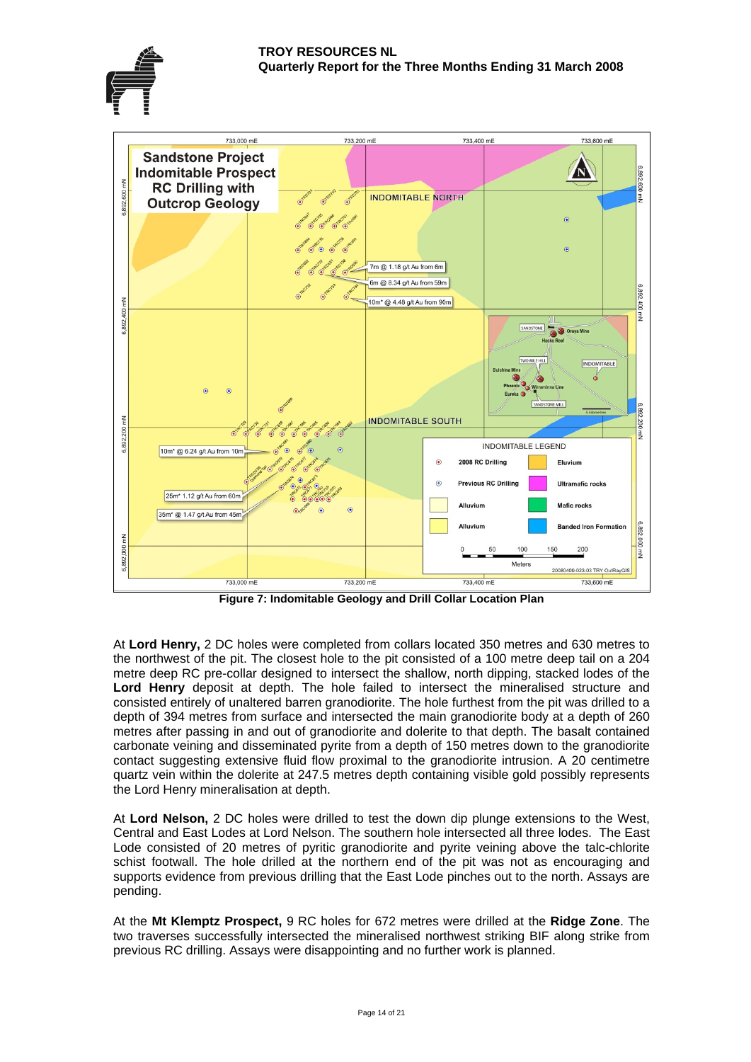#### **TROY RESOURCES NL Quarterly Report for the Three Months Ending 31 March 2008**





**Figure 7: Indomitable Geology and Drill Collar Location Plan** 

At **Lord Henry,** 2 DC holes were completed from collars located 350 metres and 630 metres to the northwest of the pit. The closest hole to the pit consisted of a 100 metre deep tail on a 204 metre deep RC pre-collar designed to intersect the shallow, north dipping, stacked lodes of the **Lord Henry** deposit at depth. The hole failed to intersect the mineralised structure and consisted entirely of unaltered barren granodiorite. The hole furthest from the pit was drilled to a depth of 394 metres from surface and intersected the main granodiorite body at a depth of 260 metres after passing in and out of granodiorite and dolerite to that depth. The basalt contained carbonate veining and disseminated pyrite from a depth of 150 metres down to the granodiorite contact suggesting extensive fluid flow proximal to the granodiorite intrusion. A 20 centimetre quartz vein within the dolerite at 247.5 metres depth containing visible gold possibly represents the Lord Henry mineralisation at depth.

At **Lord Nelson,** 2 DC holes were drilled to test the down dip plunge extensions to the West, Central and East Lodes at Lord Nelson. The southern hole intersected all three lodes. The East Lode consisted of 20 metres of pyritic granodiorite and pyrite veining above the talc-chlorite schist footwall. The hole drilled at the northern end of the pit was not as encouraging and supports evidence from previous drilling that the East Lode pinches out to the north. Assays are pending.

At the **Mt Klemptz Prospect,** 9 RC holes for 672 metres were drilled at the **Ridge Zone**. The two traverses successfully intersected the mineralised northwest striking BIF along strike from previous RC drilling. Assays were disappointing and no further work is planned.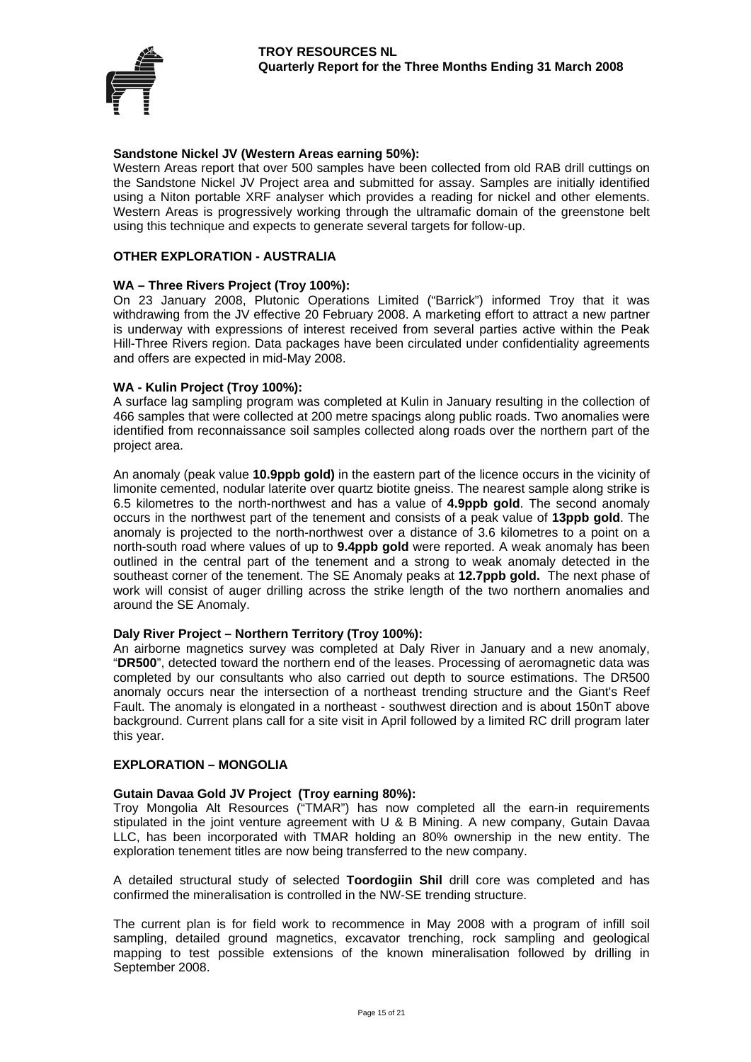

#### **Sandstone Nickel JV (Western Areas earning 50%):**

Western Areas report that over 500 samples have been collected from old RAB drill cuttings on the Sandstone Nickel JV Project area and submitted for assay. Samples are initially identified using a Niton portable XRF analyser which provides a reading for nickel and other elements. Western Areas is progressively working through the ultramafic domain of the greenstone belt using this technique and expects to generate several targets for follow-up.

#### **OTHER EXPLORATION - AUSTRALIA**

#### **WA – Three Rivers Project (Troy 100%):**

On 23 January 2008, Plutonic Operations Limited ("Barrick") informed Troy that it was withdrawing from the JV effective 20 February 2008. A marketing effort to attract a new partner is underway with expressions of interest received from several parties active within the Peak Hill-Three Rivers region. Data packages have been circulated under confidentiality agreements and offers are expected in mid-May 2008.

#### **WA - Kulin Project (Troy 100%):**

A surface lag sampling program was completed at Kulin in January resulting in the collection of 466 samples that were collected at 200 metre spacings along public roads. Two anomalies were identified from reconnaissance soil samples collected along roads over the northern part of the project area.

An anomaly (peak value **10.9ppb gold)** in the eastern part of the licence occurs in the vicinity of limonite cemented, nodular laterite over quartz biotite gneiss. The nearest sample along strike is 6.5 kilometres to the north-northwest and has a value of **4.9ppb gold**. The second anomaly occurs in the northwest part of the tenement and consists of a peak value of **13ppb gold**. The anomaly is projected to the north-northwest over a distance of 3.6 kilometres to a point on a north-south road where values of up to **9.4ppb gold** were reported. A weak anomaly has been outlined in the central part of the tenement and a strong to weak anomaly detected in the southeast corner of the tenement. The SE Anomaly peaks at **12.7ppb gold.** The next phase of work will consist of auger drilling across the strike length of the two northern anomalies and around the SE Anomaly.

#### **Daly River Project – Northern Territory (Troy 100%):**

An airborne magnetics survey was completed at Daly River in January and a new anomaly, "**DR500**", detected toward the northern end of the leases. Processing of aeromagnetic data was completed by our consultants who also carried out depth to source estimations. The DR500 anomaly occurs near the intersection of a northeast trending structure and the Giant's Reef Fault. The anomaly is elongated in a northeast - southwest direction and is about 150nT above background. Current plans call for a site visit in April followed by a limited RC drill program later this year.

#### **EXPLORATION – MONGOLIA**

#### **Gutain Davaa Gold JV Project (Troy earning 80%):**

Troy Mongolia Alt Resources ("TMAR") has now completed all the earn-in requirements stipulated in the joint venture agreement with U & B Mining. A new company, Gutain Davaa LLC, has been incorporated with TMAR holding an 80% ownership in the new entity. The exploration tenement titles are now being transferred to the new company.

A detailed structural study of selected **Toordogiin Shil** drill core was completed and has confirmed the mineralisation is controlled in the NW-SE trending structure.

The current plan is for field work to recommence in May 2008 with a program of infill soil sampling, detailed ground magnetics, excavator trenching, rock sampling and geological mapping to test possible extensions of the known mineralisation followed by drilling in September 2008.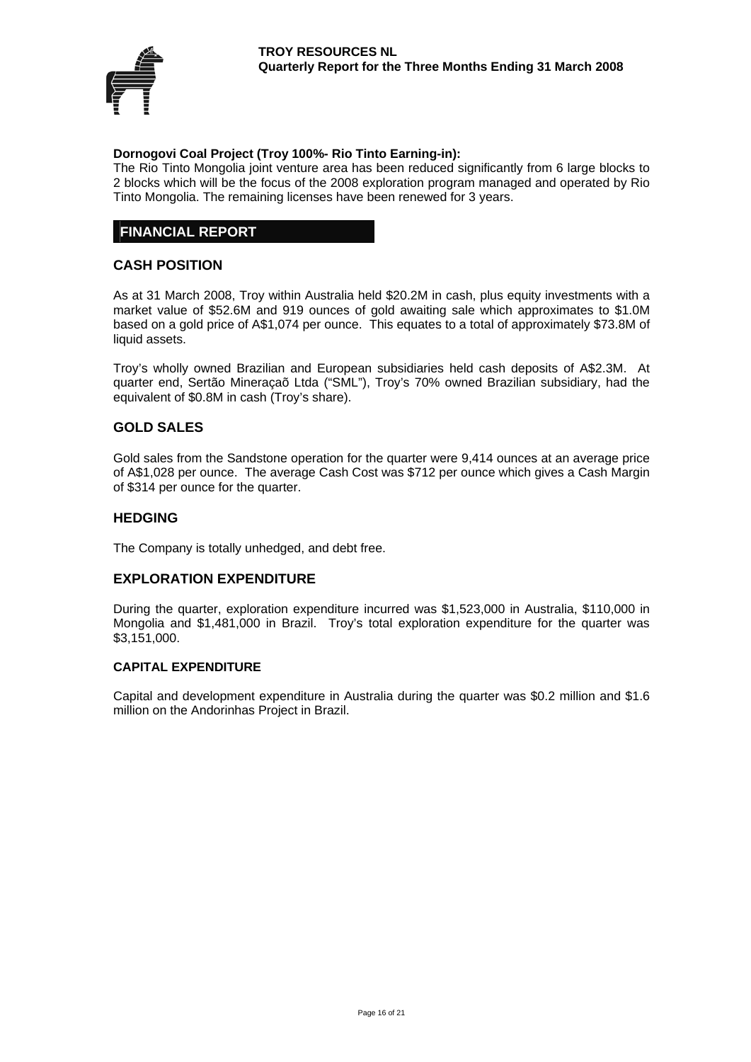

#### **Dornogovi Coal Project (Troy 100%- Rio Tinto Earning-in):**

The Rio Tinto Mongolia joint venture area has been reduced significantly from 6 large blocks to 2 blocks which will be the focus of the 2008 exploration program managed and operated by Rio Tinto Mongolia. The remaining licenses have been renewed for 3 years.

## **FINANCIAL REPORT**

### **CASH POSITION**

As at 31 March 2008, Troy within Australia held \$20.2M in cash, plus equity investments with a market value of \$52.6M and 919 ounces of gold awaiting sale which approximates to \$1.0M based on a gold price of A\$1,074 per ounce. This equates to a total of approximately \$73.8M of liquid assets.

Troy's wholly owned Brazilian and European subsidiaries held cash deposits of A\$2.3M. At quarter end, Sertão Mineraçaõ Ltda ("SML"), Troy's 70% owned Brazilian subsidiary, had the equivalent of \$0.8M in cash (Troy's share).

### **GOLD SALES**

Gold sales from the Sandstone operation for the quarter were 9,414 ounces at an average price of A\$1,028 per ounce. The average Cash Cost was \$712 per ounce which gives a Cash Margin of \$314 per ounce for the quarter.

#### **HEDGING**

The Company is totally unhedged, and debt free.

#### **EXPLORATION EXPENDITURE**

During the quarter, exploration expenditure incurred was \$1,523,000 in Australia, \$110,000 in Mongolia and \$1,481,000 in Brazil. Troy's total exploration expenditure for the quarter was \$3,151,000.

#### **CAPITAL EXPENDITURE**

Capital and development expenditure in Australia during the quarter was \$0.2 million and \$1.6 million on the Andorinhas Project in Brazil.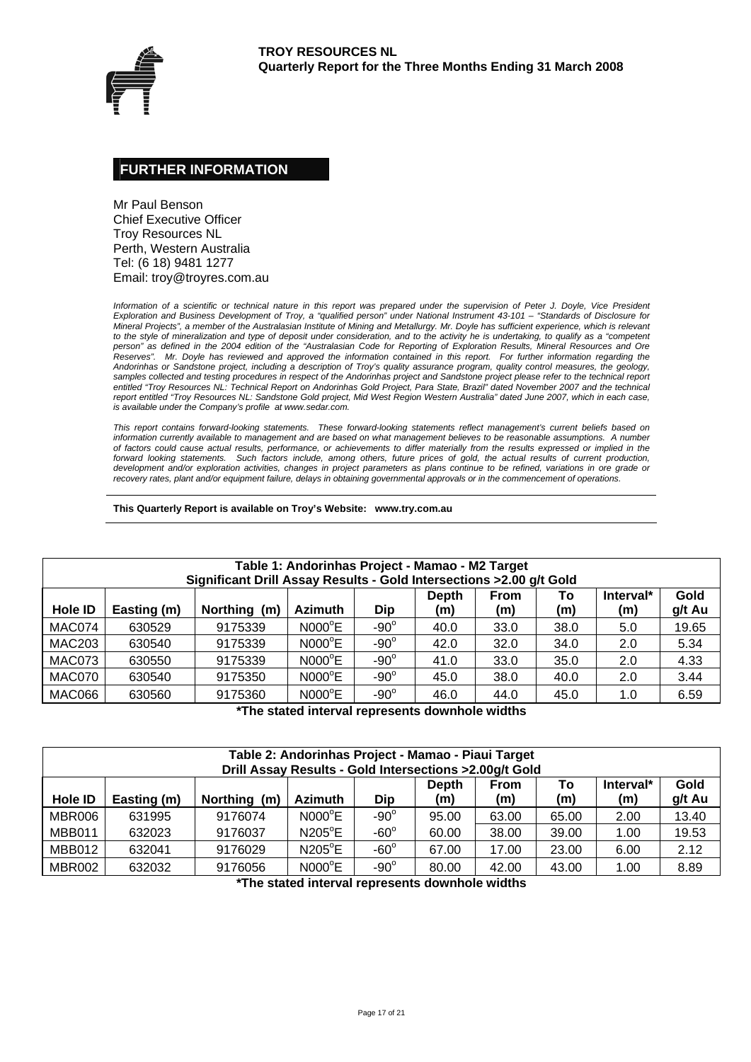

#### **FURTHER INFORMATION**

Mr Paul Benson Chief Executive Officer Troy Resources NL Perth, Western Australia Tel: (6 18) 9481 1277 Email: troy@troyres.com.au

*Information of a scientific or technical nature in this report was prepared under the supervision of Peter J. Doyle, Vice President Exploration and Business Development of Troy, a "qualified person" under National Instrument 43-101 – "Standards of Disclosure for Mineral Projects", a member of the Australasian Institute of Mining and Metallurgy. Mr. Doyle has sufficient experience, which is relevant*  to the style of mineralization and type of deposit under consideration, and to the activity he is undertaking, to qualify as a "competent *person" as defined in the 2004 edition of the "Australasian Code for Reporting of Exploration Results, Mineral Resources and Ore Reserves". Mr. Doyle has reviewed and approved the information contained in this report. For further information regarding the Andorinhas or Sandstone project, including a description of Troy's quality assurance program, quality control measures, the geology,*  samples collected and testing procedures in respect of the Andorinhas project and Sandstone project please refer to the technical report *entitled "Troy Resources NL: Technical Report on Andorinhas Gold Project, Para State, Brazil" dated November 2007 and the technical*  report entitled "Troy Resources NL: Sandstone Gold project, Mid West Region Western Australia" dated June 2007, which in each case, *is available under the Company's profile at www.sedar.com.* 

*This report contains forward-looking statements. These forward-looking statements reflect management's current beliefs based on information currently available to management and are based on what management believes to be reasonable assumptions. A number of factors could cause actual results, performance, or achievements to differ materially from the results expressed or implied in the forward looking statements. Such factors include, among others, future prices of gold, the actual results of current production, development and/or exploration activities, changes in project parameters as plans continue to be refined, variations in ore grade or recovery rates, plant and/or equipment failure, delays in obtaining governmental approvals or in the commencement of operations.* 

**This Quarterly Report is available on Troy's Website: www.try.com.au** 

| Table 1: Andorinhas Project - Mamao - M2 Target<br>Significant Drill Assay Results - Gold Intersections > 2.00 g/t Gold |             |              |                 |             |                     |                    |           |                  |                |  |  |  |
|-------------------------------------------------------------------------------------------------------------------------|-------------|--------------|-----------------|-------------|---------------------|--------------------|-----------|------------------|----------------|--|--|--|
| <b>Hole ID</b>                                                                                                          | Easting (m) | Northing (m) | <b>Azimuth</b>  | <b>Dip</b>  | <b>Depth</b><br>(m) | <b>From</b><br>(m) | To<br>(m) | Interval*<br>(m) | Gold<br>g/t Au |  |  |  |
| MAC074                                                                                                                  | 630529      | 9175339      | $NOOO^{\circ}E$ | $-90^\circ$ | 40.0                | 33.0               | 38.0      | 5.0              | 19.65          |  |  |  |
| <b>MAC203</b>                                                                                                           | 630540      | 9175339      | $NOOO^{\circ}E$ | $-90^\circ$ | 42.0                | 32.0               | 34.0      | 2.0              | 5.34           |  |  |  |
| MAC073                                                                                                                  | 630550      | 9175339      | $NOOO^{\circ}E$ | $-90^\circ$ | 41.0                | 33.0               | 35.0      | 2.0              | 4.33           |  |  |  |
| MAC070                                                                                                                  | 630540      | 9175350      | $NOOO^{\circ}E$ | $-90^\circ$ | 45.0                | 38.0               | 40.0      | 2.0              | 3.44           |  |  |  |
| MAC066                                                                                                                  | 630560      | 9175360      | $NOOO^{\circ}E$ | $-90^\circ$ | 46.0                | 44.0               | 45.0      | 1.0              | 6.59           |  |  |  |

**\*The stated interval represents downhole widths** 

|                | Table 2: Andorinhas Project - Mamao - Piaui Target<br>Drill Assay Results - Gold Intersections > 2.00g/t Gold                                        |         |                 |             |       |       |       |      |       |  |  |  |
|----------------|------------------------------------------------------------------------------------------------------------------------------------------------------|---------|-----------------|-------------|-------|-------|-------|------|-------|--|--|--|
| <b>Hole ID</b> | Gold<br>Interval*<br><b>Depth</b><br>То<br><b>From</b><br>(m)<br>g/t Au<br>Dip<br>Northing (m)<br>Easting (m)<br><b>Azimuth</b><br>(m)<br>(m)<br>(m) |         |                 |             |       |       |       |      |       |  |  |  |
| MBR006         | 631995                                                                                                                                               | 9176074 | $NOOO^{\circ}E$ | $-90^\circ$ | 95.00 | 63.00 | 65.00 | 2.00 | 13.40 |  |  |  |
| <b>MBB011</b>  | 632023                                                                                                                                               | 9176037 | $N205^{\circ}E$ | $-60^\circ$ | 60.00 | 38.00 | 39.00 | 1.00 | 19.53 |  |  |  |
| <b>MBB012</b>  | 632041                                                                                                                                               | 9176029 | $N205^{\circ}E$ | $-60^\circ$ | 67.00 | 17.00 | 23.00 | 6.00 | 2.12  |  |  |  |
| MBR002         | 632032                                                                                                                                               | 9176056 | $NOOO^{\circ}E$ | $-90^\circ$ | 80.00 | 42.00 | 43.00 | 1.00 | 8.89  |  |  |  |

**\*The stated interval represents downhole widths**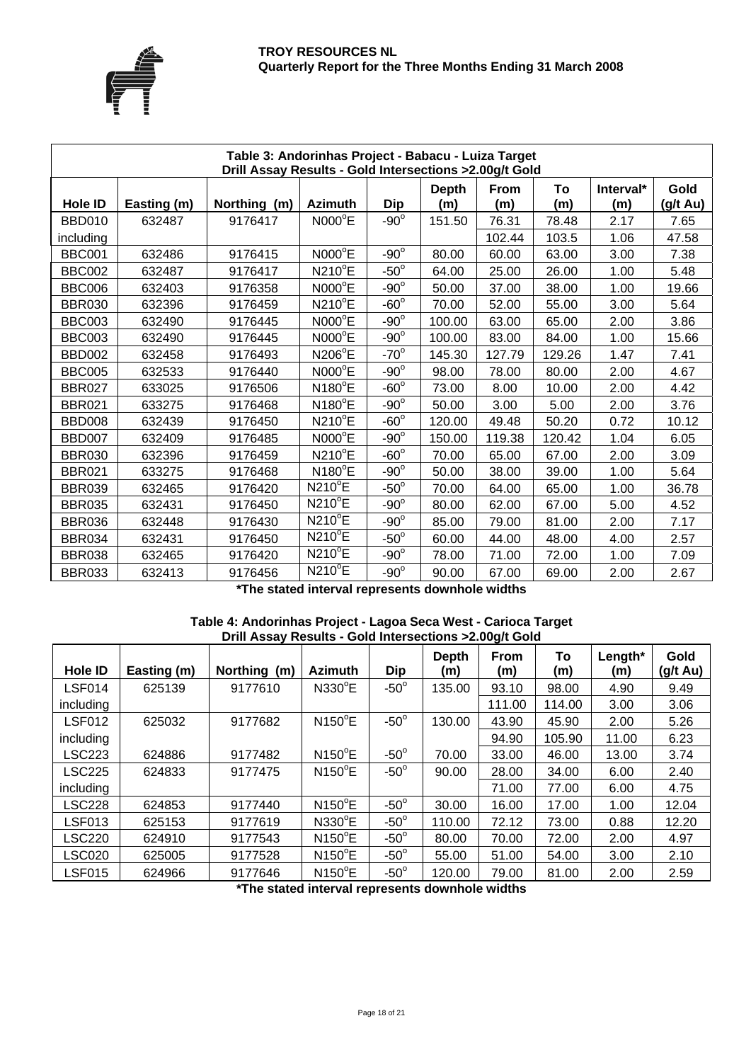

|                | Table 3: Andorinhas Project - Babacu - Luiza Target<br>Drill Assay Results - Gold Intersections > 2.00g/t Gold |              |                 |             |                     |             |           |                  |                            |  |  |  |  |
|----------------|----------------------------------------------------------------------------------------------------------------|--------------|-----------------|-------------|---------------------|-------------|-----------|------------------|----------------------------|--|--|--|--|
| <b>Hole ID</b> | Easting (m)                                                                                                    | Northing (m) | <b>Azimuth</b>  | <b>Dip</b>  | <b>Depth</b><br>(m) | From<br>(m) | To<br>(m) | Interval*<br>(m) | Gold<br>$(g/t \text{ Au})$ |  |  |  |  |
| <b>BBD010</b>  | 632487                                                                                                         | 9176417      | $NOOO^{\circ}E$ | $-90^\circ$ | 151.50              | 76.31       | 78.48     | 2.17             | 7.65                       |  |  |  |  |
| including      |                                                                                                                |              |                 |             |                     | 102.44      | 103.5     | 1.06             | 47.58                      |  |  |  |  |
| <b>BBC001</b>  | 632486                                                                                                         | 9176415      | $NOOO^{\circ}E$ | $-90^\circ$ | 80.00               | 60.00       | 63.00     | 3.00             | 7.38                       |  |  |  |  |
| <b>BBC002</b>  | 632487                                                                                                         | 9176417      | N210°E          | $-50^\circ$ | 64.00               | 25.00       | 26.00     | 1.00             | 5.48                       |  |  |  |  |
| <b>BBC006</b>  | 632403                                                                                                         | 9176358      | N000°E          | $-90^\circ$ | 50.00               | 37.00       | 38.00     | 1.00             | 19.66                      |  |  |  |  |
| <b>BBR030</b>  | 632396                                                                                                         | 9176459      | N210°E          | $-60^\circ$ | 70.00               | 52.00       | 55.00     | 3.00             | 5.64                       |  |  |  |  |
| <b>BBC003</b>  | 632490                                                                                                         | 9176445      | N000°E          | $-90^\circ$ | 100.00              | 63.00       | 65.00     | 2.00             | 3.86                       |  |  |  |  |
| <b>BBC003</b>  | 632490                                                                                                         | 9176445      | $NOOO^{\circ}E$ | $-90^\circ$ | 100.00              | 83.00       | 84.00     | 1.00             | 15.66                      |  |  |  |  |
| <b>BBD002</b>  | 632458                                                                                                         | 9176493      | N206°E          | $-70^\circ$ | 145.30              | 127.79      | 129.26    | 1.47             | 7.41                       |  |  |  |  |
| <b>BBC005</b>  | 632533                                                                                                         | 9176440      | $NOOO^{\circ}E$ | $-90^\circ$ | 98.00               | 78.00       | 80.00     | 2.00             | 4.67                       |  |  |  |  |
| <b>BBR027</b>  | 633025                                                                                                         | 9176506      | $N180^{\circ}E$ | $-60^\circ$ | 73.00               | 8.00        | 10.00     | 2.00             | 4.42                       |  |  |  |  |
| <b>BBR021</b>  | 633275                                                                                                         | 9176468      | N180°E          | $-90^\circ$ | 50.00               | 3.00        | 5.00      | 2.00             | 3.76                       |  |  |  |  |
| <b>BBD008</b>  | 632439                                                                                                         | 9176450      | N210°E          | $-60^\circ$ | 120.00              | 49.48       | 50.20     | 0.72             | 10.12                      |  |  |  |  |
| BBD007         | 632409                                                                                                         | 9176485      | $NOOO^{\circ}E$ | $-90^\circ$ | 150.00              | 119.38      | 120.42    | 1.04             | 6.05                       |  |  |  |  |
| <b>BBR030</b>  | 632396                                                                                                         | 9176459      | N210°E          | $-60^\circ$ | 70.00               | 65.00       | 67.00     | 2.00             | 3.09                       |  |  |  |  |
| <b>BBR021</b>  | 633275                                                                                                         | 9176468      | N180°E          | $-90^\circ$ | 50.00               | 38.00       | 39.00     | 1.00             | 5.64                       |  |  |  |  |
| <b>BBR039</b>  | 632465                                                                                                         | 9176420      | <b>N210°E</b>   | $-50^\circ$ | 70.00               | 64.00       | 65.00     | 1.00             | 36.78                      |  |  |  |  |
| <b>BBR035</b>  | 632431                                                                                                         | 9176450      | $N210^{\circ}E$ | $-90^\circ$ | 80.00               | 62.00       | 67.00     | 5.00             | 4.52                       |  |  |  |  |
| <b>BBR036</b>  | 632448                                                                                                         | 9176430      | $N210^{\circ}E$ | $-90^\circ$ | 85.00               | 79.00       | 81.00     | 2.00             | 7.17                       |  |  |  |  |
| <b>BBR034</b>  | 632431                                                                                                         | 9176450      | <b>N210°E</b>   | $-50^\circ$ | 60.00               | 44.00       | 48.00     | 4.00             | 2.57                       |  |  |  |  |
| <b>BBR038</b>  | 632465                                                                                                         | 9176420      | N210°E          | $-90^\circ$ | 78.00               | 71.00       | 72.00     | 1.00             | 7.09                       |  |  |  |  |
| <b>BBR033</b>  | 632413                                                                                                         | 9176456      | $N210^{\circ}E$ | $-90^\circ$ | 90.00               | 67.00       | 69.00     | 2.00             | 2.67                       |  |  |  |  |

**\*The stated interval represents downhole widths** 

| Table 4: Andorinhas Project - Lagoa Seca West - Carioca Target |
|----------------------------------------------------------------|
| Drill Assay Results - Gold Intersections > 2.00g/t Gold        |

| <b>Hole ID</b> | Easting (m) | Northing (m) | <b>Azimuth</b>  | <b>Dip</b>  | Depth<br>(m) | From<br>(m) | To<br>(m) | Length*<br>(m) | Gold<br>(g/t Au) |
|----------------|-------------|--------------|-----------------|-------------|--------------|-------------|-----------|----------------|------------------|
| <b>LSF014</b>  | 625139      | 9177610      | $N330^{\circ}E$ | $-50^\circ$ | 135.00       | 93.10       | 98.00     | 4.90           | 9.49             |
| including      |             |              |                 |             |              | 111.00      | 114.00    | 3.00           | 3.06             |
| <b>LSF012</b>  | 625032      | 9177682      | $N150^{\circ}E$ | $-50^\circ$ | 130.00       | 43.90       | 45.90     | 2.00           | 5.26             |
| including      |             |              |                 |             |              | 94.90       | 105.90    | 11.00          | 6.23             |
| LSC223         | 624886      | 9177482      | $N150^{\circ}E$ | $-50^\circ$ | 70.00        | 33.00       | 46.00     | 13.00          | 3.74             |
| <b>LSC225</b>  | 624833      | 9177475      | $N150^{\circ}E$ | $-50^\circ$ | 90.00        | 28.00       | 34.00     | 6.00           | 2.40             |
| including      |             |              |                 |             |              | 71.00       | 77.00     | 6.00           | 4.75             |
| <b>LSC228</b>  | 624853      | 9177440      | $N150^{\circ}E$ | $-50^\circ$ | 30.00        | 16.00       | 17.00     | 1.00           | 12.04            |
| LSF013         | 625153      | 9177619      | $N330^{\circ}E$ | $-50^\circ$ | 110.00       | 72.12       | 73.00     | 0.88           | 12.20            |
| <b>LSC220</b>  | 624910      | 9177543      | $N150^{\circ}E$ | $-50^\circ$ | 80.00        | 70.00       | 72.00     | 2.00           | 4.97             |
| LSC020         | 625005      | 9177528      | $N150^{\circ}E$ | $-50^\circ$ | 55.00        | 51.00       | 54.00     | 3.00           | 2.10             |
| <b>LSF015</b>  | 624966      | 9177646      | $N150^{\circ}E$ | $-50^\circ$ | 120.00       | 79.00       | 81.00     | 2.00           | 2.59             |

**\*The stated interval represents downhole widths**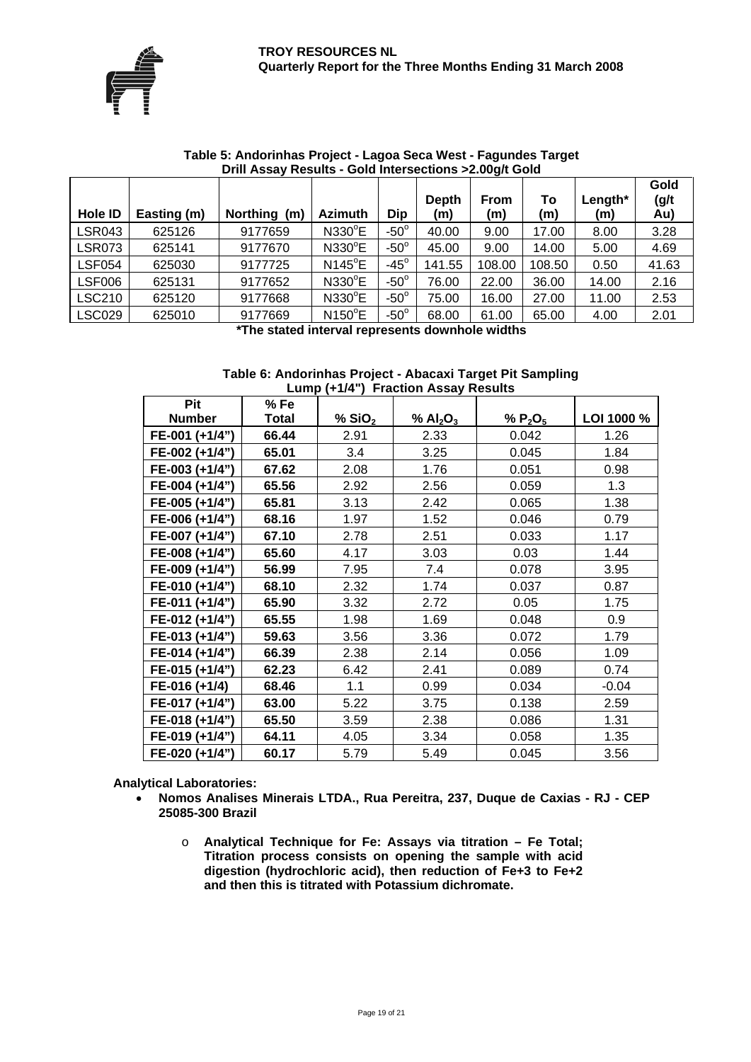

| <b>Hole ID</b> | Easting (m) | Northing (m) | <b>Azimuth</b>  | <b>Dip</b>     | <b>Depth</b><br>(m) | <b>From</b><br>(m) | To<br>(m) | Length $*$<br>(m) | Gold<br>(g/t)<br>Au) |
|----------------|-------------|--------------|-----------------|----------------|---------------------|--------------------|-----------|-------------------|----------------------|
| <b>LSR043</b>  | 625126      | 9177659      | N330°E          | $-50^\circ$    | 40.00               | 9.00               | 17.00     | 8.00              | 3.28                 |
| <b>LSR073</b>  | 625141      | 9177670      | N330°E          | $-50^\circ$    | 45.00               | 9.00               | 14.00     | 5.00              | 4.69                 |
| <b>LSF054</b>  | 625030      | 9177725      | $N145^{\circ}E$ | -45 $^{\circ}$ | 141.55              | 108.00             | 108.50    | 0.50              | 41.63                |
| <b>LSF006</b>  | 625131      | 9177652      | $N330^{\circ}E$ | $-50^\circ$    | 76.00               | 22.00              | 36.00     | 14.00             | 2.16                 |
| <b>LSC210</b>  | 625120      | 9177668      | $N330^{\circ}E$ | $-50^\circ$    | 75.00               | 16.00              | 27.00     | 11.00             | 2.53                 |
| <b>LSC029</b>  | 625010      | 9177669<br>. | $N150^{\circ}E$ | $-50^\circ$    | 68.00               | 61.00<br>.         | 65.00     | 4.00              | 2.01                 |

#### **Table 5: Andorinhas Project - Lagoa Seca West - Fagundes Target Drill Assay Results - Gold Intersections >2.00g/t Gold**

**\*The stated interval represents downhole widths** 

#### **Table 6: Andorinhas Project - Abacaxi Target Pit Sampling Lump (+1/4") Fraction Assay Results**

| Pit            | %Fe          |                      |           |            |            |
|----------------|--------------|----------------------|-----------|------------|------------|
| <b>Number</b>  | <b>Total</b> | $%$ SiO <sub>2</sub> | % $Al2O3$ | % $P_2O_5$ | LOI 1000 % |
| FE-001 (+1/4") | 66.44        | 2.91                 | 2.33      | 0.042      | 1.26       |
| FE-002 (+1/4") | 65.01        | 3.4                  | 3.25      | 0.045      | 1.84       |
| FE-003 (+1/4") | 67.62        | 2.08                 | 1.76      | 0.051      | 0.98       |
| FE-004 (+1/4") | 65.56        | 2.92                 | 2.56      | 0.059      | 1.3        |
| FE-005 (+1/4") | 65.81        | 3.13                 | 2.42      | 0.065      | 1.38       |
| FE-006 (+1/4") | 68.16        | 1.97                 | 1.52      | 0.046      | 0.79       |
| FE-007 (+1/4") | 67.10        | 2.78                 | 2.51      | 0.033      | 1.17       |
| FE-008 (+1/4") | 65.60        | 4.17                 | 3.03      | 0.03       | 1.44       |
| FE-009 (+1/4") | 56.99        | 7.95                 | 7.4       | 0.078      | 3.95       |
| FE-010 (+1/4") | 68.10        | 2.32                 | 1.74      | 0.037      | 0.87       |
| FE-011 (+1/4") | 65.90        | 3.32                 | 2.72      | 0.05       | 1.75       |
| FE-012 (+1/4") | 65.55        | 1.98                 | 1.69      | 0.048      | 0.9        |
| FE-013 (+1/4") | 59.63        | 3.56                 | 3.36      | 0.072      | 1.79       |
| FE-014 (+1/4") | 66.39        | 2.38                 | 2.14      | 0.056      | 1.09       |
| FE-015 (+1/4") | 62.23        | 6.42                 | 2.41      | 0.089      | 0.74       |
| FE-016 (+1/4)  | 68.46        | 1.1                  | 0.99      | 0.034      | $-0.04$    |
| FE-017 (+1/4") | 63.00        | 5.22                 | 3.75      | 0.138      | 2.59       |
| FE-018 (+1/4") | 65.50        | 3.59                 | 2.38      | 0.086      | 1.31       |
| FE-019 (+1/4") | 64.11        | 4.05                 | 3.34      | 0.058      | 1.35       |
| FE-020 (+1/4") | 60.17        | 5.79                 | 5.49      | 0.045      | 3.56       |

**Analytical Laboratories:** 

- **Nomos Analises Minerais LTDA., Rua Pereitra, 237, Duque de Caxias RJ CEP 25085-300 Brazil** 
	- o **Analytical Technique for Fe: Assays via titration Fe Total; Titration process consists on opening the sample with acid digestion (hydrochloric acid), then reduction of Fe+3 to Fe+2 and then this is titrated with Potassium dichromate.**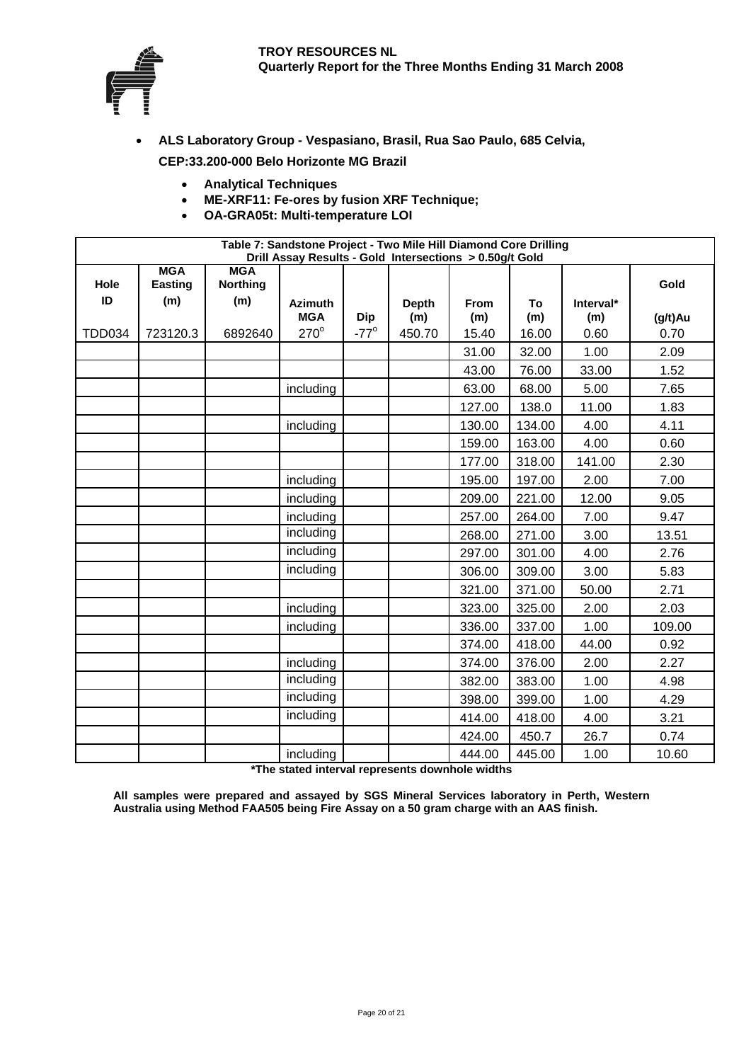

- **ALS Laboratory Group Vespasiano, Brasil, Rua Sao Paulo, 685 Celvia, CEP:33.200-000 Belo Horizonte MG Brazil** 
	- **Analytical Techniques**
	- **ME-XRF11: Fe-ores by fusion XRF Technique;**
	- **OA-GRA05t: Multi-temperature LOI**

|               | Table 7: Sandstone Project - Two Mile Hill Diamond Core Drilling<br>Drill Assay Results - Gold Intersections > 0.50g/t Gold |                 |                |             |              |             |        |           |         |  |  |  |
|---------------|-----------------------------------------------------------------------------------------------------------------------------|-----------------|----------------|-------------|--------------|-------------|--------|-----------|---------|--|--|--|
|               | <b>MGA</b>                                                                                                                  | <b>MGA</b>      |                |             |              |             |        |           |         |  |  |  |
| Hole          | <b>Easting</b>                                                                                                              | <b>Northing</b> |                |             |              |             |        |           | Gold    |  |  |  |
| ID            | (m)                                                                                                                         | (m)             | <b>Azimuth</b> |             | <b>Depth</b> | <b>From</b> | To     | Interval* |         |  |  |  |
|               |                                                                                                                             |                 | <b>MGA</b>     | <b>Dip</b>  | (m)          | (m)         | (m)    | (m)       | (g/t)Au |  |  |  |
| <b>TDD034</b> | 723120.3                                                                                                                    | 6892640         | $270^\circ$    | $-77^\circ$ | 450.70       | 15.40       | 16.00  | 0.60      | 0.70    |  |  |  |
|               |                                                                                                                             |                 |                |             |              | 31.00       | 32.00  | 1.00      | 2.09    |  |  |  |
|               |                                                                                                                             |                 |                |             |              | 43.00       | 76.00  | 33.00     | 1.52    |  |  |  |
|               |                                                                                                                             |                 | including      |             |              | 63.00       | 68.00  | 5.00      | 7.65    |  |  |  |
|               |                                                                                                                             |                 |                |             |              | 127.00      | 138.0  | 11.00     | 1.83    |  |  |  |
|               |                                                                                                                             |                 | including      |             |              | 130.00      | 134.00 | 4.00      | 4.11    |  |  |  |
|               |                                                                                                                             |                 |                |             |              | 159.00      | 163.00 | 4.00      | 0.60    |  |  |  |
|               |                                                                                                                             |                 |                |             |              | 177.00      | 318.00 | 141.00    | 2.30    |  |  |  |
|               |                                                                                                                             |                 | including      |             |              | 195.00      | 197.00 | 2.00      | 7.00    |  |  |  |
|               |                                                                                                                             |                 | including      |             |              | 209.00      | 221.00 | 12.00     | 9.05    |  |  |  |
|               |                                                                                                                             |                 | including      |             |              | 257.00      | 264.00 | 7.00      | 9.47    |  |  |  |
|               |                                                                                                                             |                 | including      |             |              | 268.00      | 271.00 | 3.00      | 13.51   |  |  |  |
|               |                                                                                                                             |                 | including      |             |              | 297.00      | 301.00 | 4.00      | 2.76    |  |  |  |
|               |                                                                                                                             |                 | including      |             |              | 306.00      | 309.00 | 3.00      | 5.83    |  |  |  |
|               |                                                                                                                             |                 |                |             |              | 321.00      | 371.00 | 50.00     | 2.71    |  |  |  |
|               |                                                                                                                             |                 | including      |             |              | 323.00      | 325.00 | 2.00      | 2.03    |  |  |  |
|               |                                                                                                                             |                 | including      |             |              | 336.00      | 337.00 | 1.00      | 109.00  |  |  |  |
|               |                                                                                                                             |                 |                |             |              | 374.00      | 418.00 | 44.00     | 0.92    |  |  |  |
|               |                                                                                                                             |                 | including      |             |              | 374.00      | 376.00 | 2.00      | 2.27    |  |  |  |
|               |                                                                                                                             |                 | including      |             |              | 382.00      | 383.00 | 1.00      | 4.98    |  |  |  |
|               |                                                                                                                             |                 | including      |             |              | 398.00      | 399.00 | 1.00      | 4.29    |  |  |  |
|               |                                                                                                                             |                 | including      |             |              | 414.00      | 418.00 | 4.00      | 3.21    |  |  |  |
|               |                                                                                                                             |                 |                |             |              | 424.00      | 450.7  | 26.7      | 0.74    |  |  |  |
|               |                                                                                                                             |                 | including      |             |              | 444.00      | 445.00 | 1.00      | 10.60   |  |  |  |

**\*The stated interval represents downhole widths** 

**All samples were prepared and assayed by SGS Mineral Services laboratory in Perth, Western Australia using Method FAA505 being Fire Assay on a 50 gram charge with an AAS finish.**